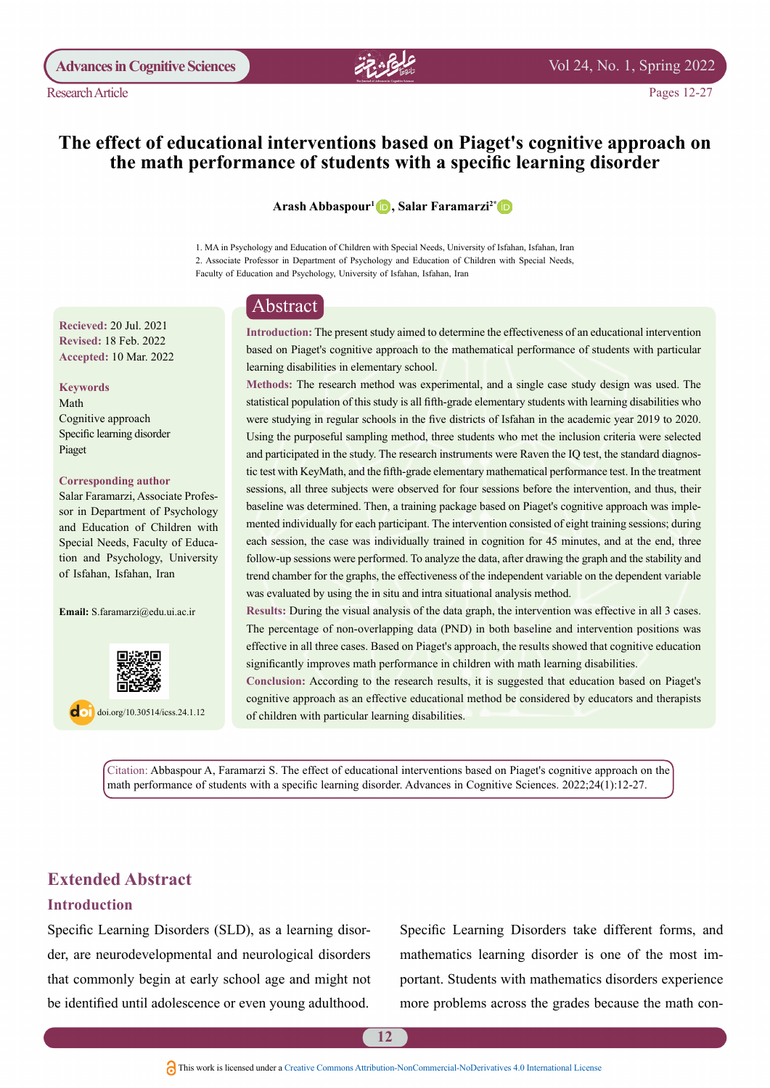

# The effect of educational interventions based on Piaget's cognitive approach on the math performance of students with a specific learning disorder

**Arash Abbaspour<sup>1</sup> D, Salar Faramarzi<sup>2[\\*](http://orcid.org/0000-0002-0493-9723)</sup> D** 

1. MA in Psychology and Education of Children with Special Needs, University of Isfahan, Isfahan, Iran 2. Associate Professor in Department of Psychology and Education of Children with Special Needs, Faculty of Education and Psychology, University of Isfahan, Isfahan, Iran

# Abstract

Introduction: The present study aimed to determine the effectiveness of an educational intervention based on Piaget's cognitive approach to the mathematical performance of students with particular learning disabilities in elementary school.

Methods: The research method was experimental, and a single case study design was used. The statistical population of this study is all fifth-grade elementary students with learning disabilities who were studying in regular schools in the five districts of Isfahan in the academic year 2019 to 2020. Using the purposeful sampling method, three students who met the inclusion criteria were selected tic test with KeyMath, and the fifth-grade elementary mathematical performance test. In the treatment and participated in the study. The research instruments were Raven the IQ test, the standard diagnossessions, all three subjects were observed for four sessions before the intervention, and thus, their mented individually for each participant. The intervention consisted of eight training sessions; during baseline was determined. Then, a training package based on Piaget's cognitive approach was impleeach session, the case was individually trained in cognition for 45 minutes, and at the end, three follow-up sessions were performed. To analyze the data, after drawing the graph and the stability and trend chamber for the graphs, the effectiveness of the independent variable on the dependent variable was evaluated by using the in situ and intra situational analysis method.

Results: During the visual analysis of the data graph, the intervention was effective in all 3 cases. The percentage of non-overlapping data (PND) in both baseline and intervention positions was effective in all three cases. Based on Piaget's approach, the results showed that cognitive education significantly improves math performance in children with math learning disabilities.

Conclusion: According to the research results, it is suggested that education based on Piaget's cognitive approach as an effective educational method be considered by educators and therapists of children with particular learning disabilities.

Citation: Abbaspour A, Faramarzi S. The effect of educational interventions based on Piaget's cognitive approach on the math performance of students with a specific learning disorder. Advances in Cognitive Sciences. 2022;24(1):12-27.

# **Extended Abstract**

#### **Introduction**

der, are neurodevelopmental and neurological disorders Specific Learning Disorders (SLD), as a learning disorthat commonly begin at early school age and might not be identified until adolescence or even young adulthood.

Specific Learning Disorders take different forms, and portant. Students with mathematics disorders experience mathematics learning disorder is one of the most immore problems across the grades because the math con-

**Recieved: 20 Jul. 2021 Revised: 18 Feb. 2022** Accepted: 10 Mar. 2022

#### **Keywords**

Math Cognitive approach Specific learning disorder Piaget

#### **Corresponding author**

sor in Department of Psychology Salar Faramarzi, Associate Profesand Education of Children with tion and Psychology, University Special Needs, Faculty of Educaof Isfahan, Isfahan, Iran

Email: S.faramarzi@edu.ui.ac.ir



 $\log$  doi.org/10.30514/icss.24.1.12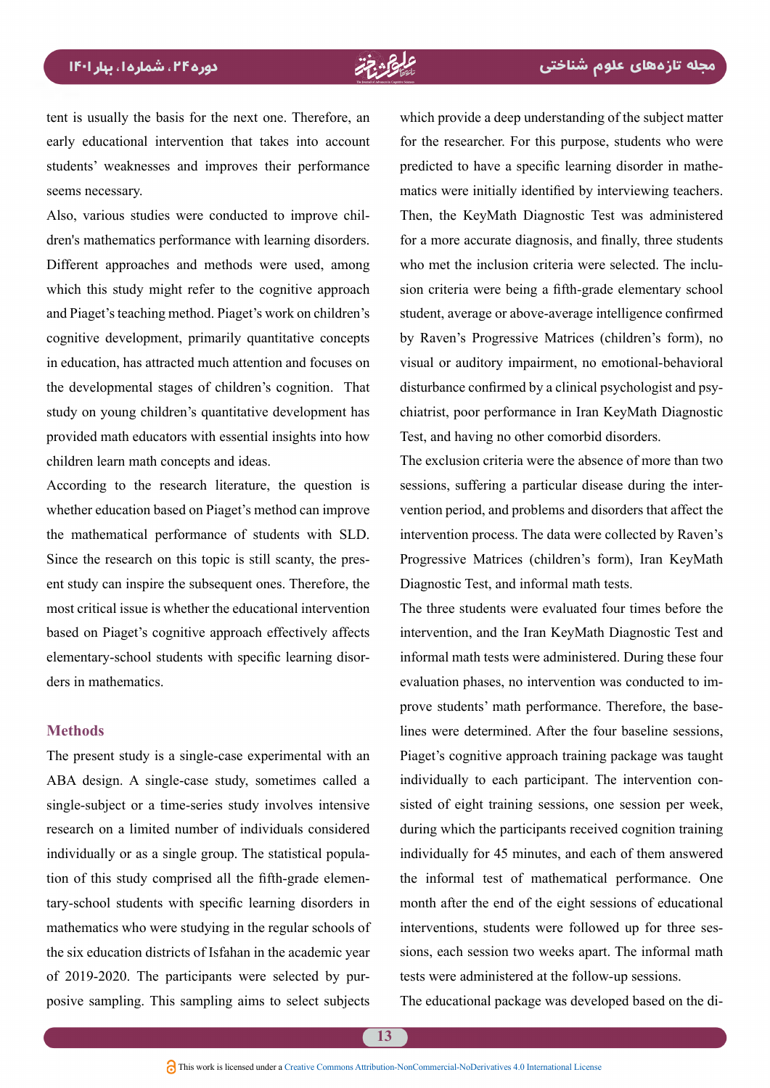tent is usually the basis for the next one. Therefore, an early educational intervention that takes into account students' weaknesses and improves their performance seems necessary.

dren's mathematics performance with learning disorders. Also, various studies were conducted to improve chil-Different approaches and methods were used, among which this study might refer to the cognitive approach and Piaget's teaching method. Piaget's work on children's cognitive development, primarily quantitative concepts in education, has attracted much attention and focuses on the developmental stages of children's cognition. That study on young children's quantitative development has provided math educators with essential insights into how children learn math concepts and ideas.

According to the research literature, the question is whether education based on Piaget's method can improve the mathematical performance of students with SLD. ent study can inspire the subsequent ones. Therefore, the Since the research on this topic is still scanty, the presmost critical issue is whether the educational intervention based on Piaget's cognitive approach effectively affects elementary-school students with specific learning disor-<br>ders in mathematics.

### **Methods**

The present study is a single-case experimental with an ABA design. A single-case study, sometimes called a single-subject or a time-series study involves intensive research on a limited number of individuals considered tion of this study comprised all the fifth-grade elemen-<br>tary-school students with specific learning disorders in individually or as a single group. The statistical population of this study comprised all the fifth-grade elemenindividually or as a single group. The statistical populamathematics who were studying in the regular schools of the six education districts of Isfahan in the academic year of 2019-2020. The participants were selected by pur-<br>posive sampling. This sampling aims to select subjects posive sampling. This sampling aims to select subjects The educational package was developed attribution Commercial-NoDerivatives 4.0 International Licensed Creative Supply and This work is licensed under a Creative Common

which provide a deep understanding of the subject matter for the researcher. For this purpose, students who were matics were initially identified by interviewing teachers. predicted to have a specific learning disorder in mathe-Then, the KeyMath Diagnostic Test was administered for a more accurate diagnosis, and finally, three students sion criteria were being a fifth-grade elementary school who met the inclusion criteria were selected. The inclustudent, average or above-average intelligence confirmed by Raven's Progressive Matrices (children's form), no visual or auditory impairment, no emotional-behavioral chiatrist, poor performance in Iran KeyMath Diagnostic disturbance confirmed by a clinical psychologist and psy-Test, and having no other comorbid disorders.

The exclusion criteria were the absence of more than two vention period, and problems and disorders that affect the sessions, suffering a particular disease during the interintervention process. The data were collected by Raven's Progressive Matrices (children's form), Iran KeyMath Diagnostic Test, and informal math tests.

The three students were evaluated four times before the intervention, and the Iran KeyMath Diagnostic Test and informal math tests were administered. During these four lines were determined. After the four baseline sessions. prove students' math performance. Therefore, the baseevaluation phases, no intervention was conducted to im-Piaget's cognitive approach training package was taught sisted of eight training sessions, one session per week, individually to each participant. The intervention conduring which the participants received cognition training individually for 45 minutes, and each of them answered the informal test of mathematical performance. One month after the end of the eight sessions of educational sions, each session two weeks apart. The informal math interventions, students were followed up for three sestests were administered at the follow-up sessions.

The educational package was developed based on the di-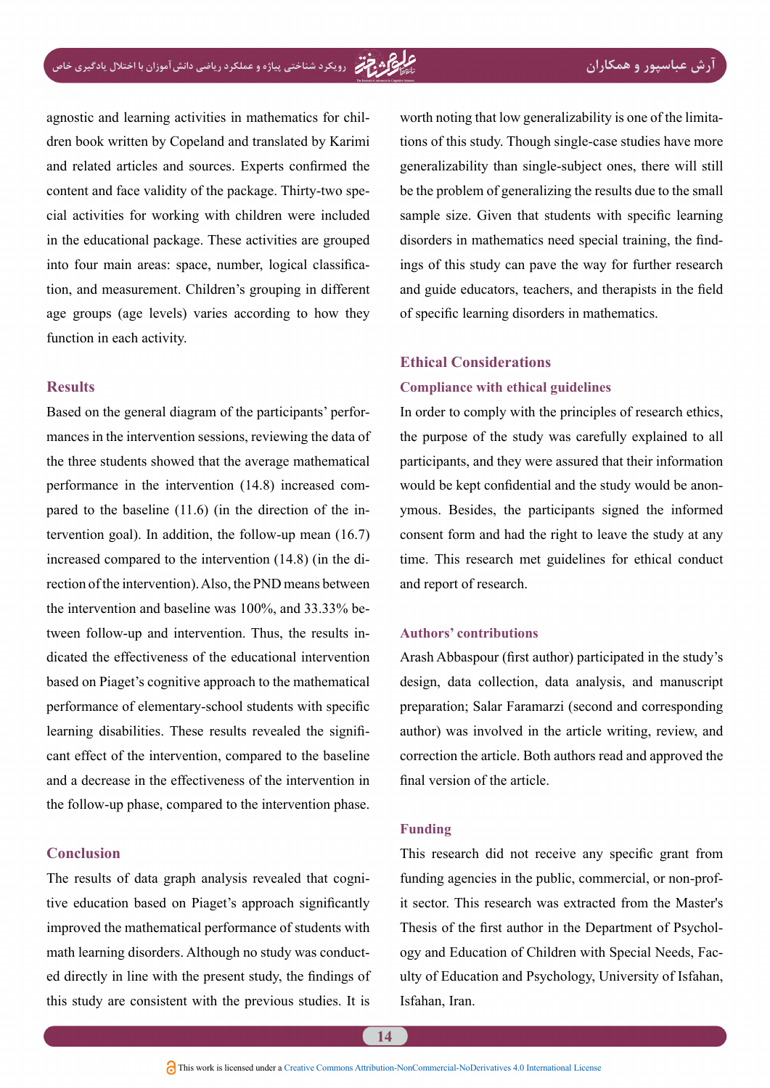agnostic and learning activities in mathematics for chil-<br>dren-book written by Copeland and translated by Karimi and related articles and sources. Experts confirmed the cial activities for working with children were included content and face validity of the package. Thirty-two spein the educational package. These activities are grouped tion, and measurement. Children's grouping in different into four main areas: space, number, logical classificaage groups (age levels) varies according to how they function in each activity.

#### **Results**

mances in the intervention sessions, reviewing the data of Based on the general diagram of the participants' perforthe three students showed that the average mathematical tervention goal). In addition, the follow-up mean  $(16.7)$ pared to the baseline  $(11.6)$  (in the direction of the inperformance in the intervention  $(14.8)$  increased comrection of the intervention). Also, the PND means between increased compared to the intervention  $(14.8)$  (in the didicated the effectiveness of the educational intervention tween follow-up and intervention. Thus, the results inthe intervention and baseline was  $100\%$ , and  $33.33\%$  bebased on Piaget's cognitive approach to the mathematical performance of elementary-school students with specific cant effect of the intervention, compared to the baseline learning disabilities. These results revealed the signifiand a decrease in the effectiveness of the intervention in the follow-up phase, compared to the intervention phase.

#### **Conclusion**

The results of data graph analysis revealed that cognitive education based on Piaget's approach significantly improved the mathematical performance of students with ed directly in line with the present study, the findings of math learning disorders. Although no study was conductthis study are consistent with the previous studies. It is

worth noting that low generalizability is one of the limitations of this study. Though single-case studies have more generalizability than single-subject ones, there will still be the problem of generalizing the results due to the small sample size. Given that students with specific learning ings of this study can pave the way for further research disorders in mathematics need special training, the findand guide educators, teachers, and therapists in the field of specific learning disorders in mathematics.

### **Ethical Considerations**

#### **Compliance with ethical guidelines**

In order to comply with the principles of research ethics, the purpose of the study was carefully explained to all participants, and they were assured that their information ymous. Besides, the participants signed the informed would be kept confidential and the study would be anonconsent form and had the right to leave the study at any time. This research met guidelines for ethical conduct and report of research.

#### **contributions' Authors**

Arash Abbaspour (first author) participated in the study's design, data collection, data analysis, and manuscript preparation; Salar Faramarzi (second and corresponding author) was involved in the article writing, review, and correction the article. Both authors read and approved the final version of the article.

#### **Funding**

This research did not receive any specific grant from it sector. This research was extracted from the Master's funding agencies in the public, commercial, or non-profulty of Education and Psychology, University of Isfahan, ogy and Education of Children with Special Needs, Fac-Thesis of the first author in the Department of Psychol-Isfahan, Iran.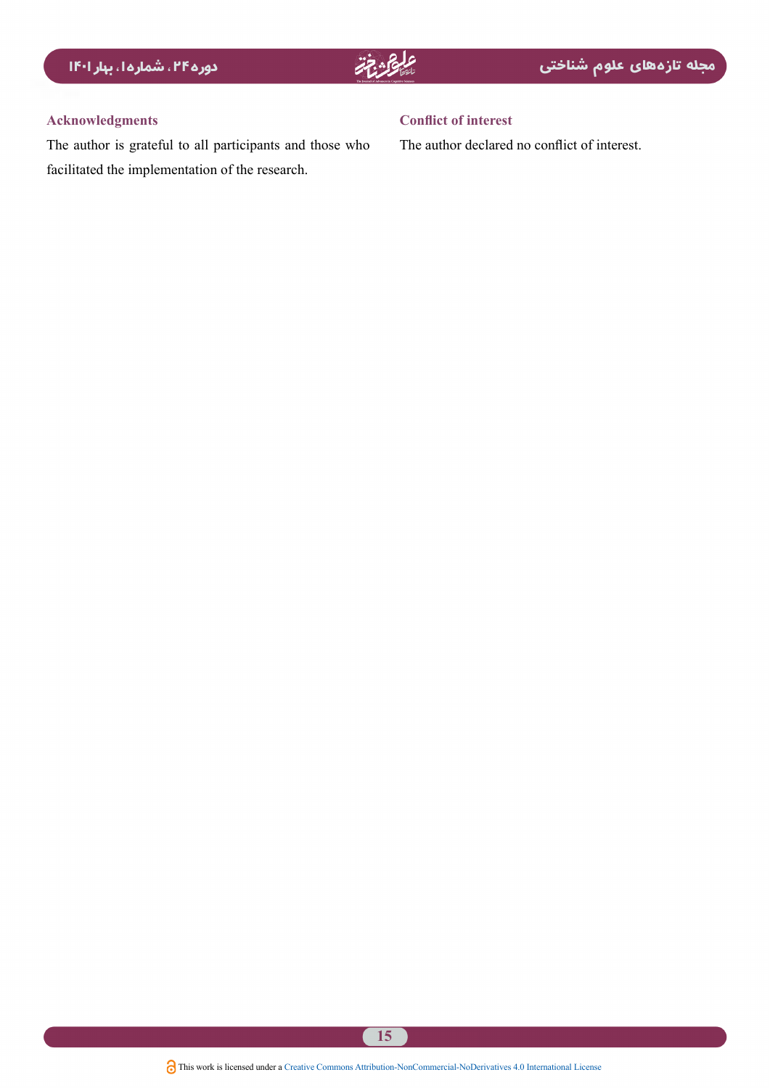### **Acknowledgments**

The author is grateful to all participants and those who facilitated the implementation of the research.

### **Conflict of interest**

The author declared no conflict of interest.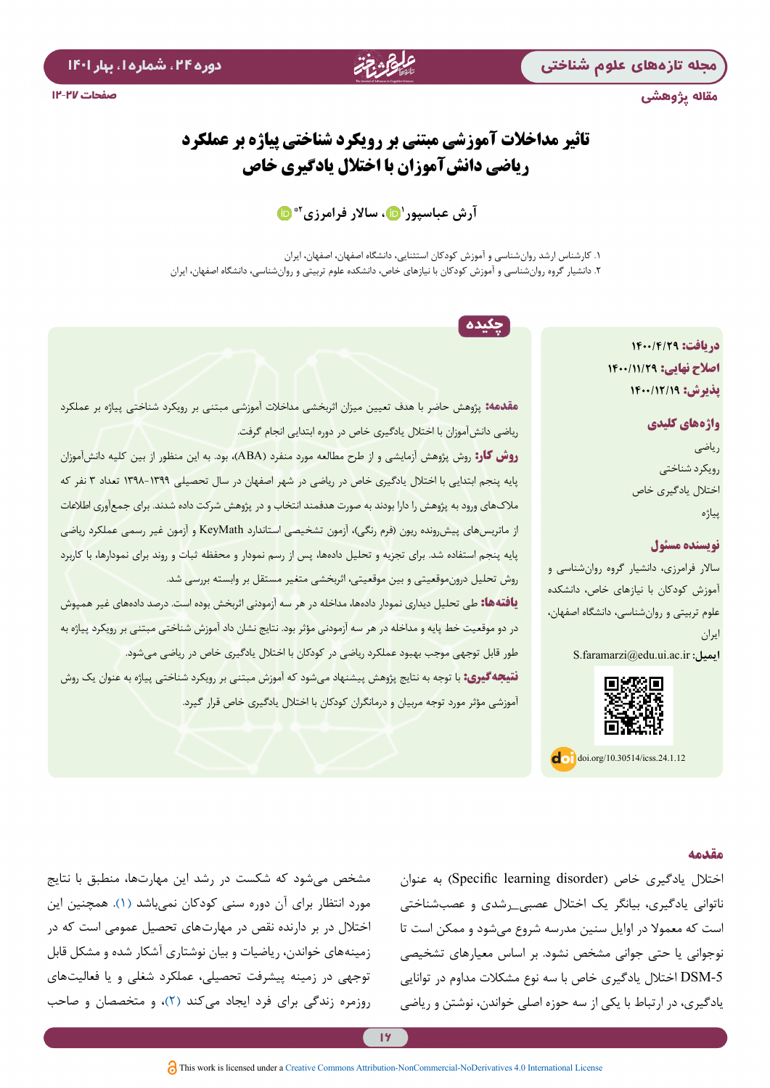مجله تازههای علوم شناختی

مقاله پژوهشی

# **تاثیر مداخالت آموزشی مبتنی بر رویکرد شناختی پیاژه بر عملکرد ریاضی دانشآموزان با اختالل یادگیری خاص**

**2[\\*](https://orcid.org/0000-0003-4390-0749) [1 ،](http://orcid.org/0000-0003-3016-3217) ساالر فرامرزی آرش عباسپور**

.1 کارشناس ارشد روانشناسی و آموزش کودکان استثنایی، دانشگاه اصفهان، اصفهان، ایران .2 دانشیار گروه روانشناسي و آموزش کودکان با نيازهاي خاص، دانشکده علوم تربيتي و روانشناسي، دانشگاه اصفهان، ایران

چکیده

**دریافت: 1400/4/29 اصالح نهایی: 1400/11/29 پذیرش: 1400/12/19**

> **واژههای کلیدی** ریاضی رویکرد شناختی اختالل یادگیری خاص پیاژه

#### **نویسنده مسئول**

ساالر فرامرزی، دانشیار گروه روانشناسي و آموزش کودکان با نيازهاي خاص، دانشکده علوم تربيتي و روانشناسي، دانشگاه اصفهان، ایران  $S$ .faramarzi@edu.ui.ac.ir **:** 



 $\log$  doi.org/10.30514/icss.24.1.12

ریاضی دانشآموزان با اختالل یادگیری خاص در دوره ابتدایی انجام گرفت. **روش کار:** روش پژوهش آزمایشی و از طرح مطالعه مورد منفرد )ABA)، بود. به این منظور از بین کلیه دانشآموزان پایه پنجم ابتدایی با اختالل یادگیری خاص در ریاضی در شهر اصفهان در سال تحصیلی ۱۳۹8-۱۳۹9 تعداد ۳ نفر که مالکهای ورود به پژوهش را دارا بودند به صورت هدفمند انتخاب و در پژوهش شرکت داده شدند. برای جمعآوری اطالعات از ماتریسهای پیش رونده ریون (فرم رنگی)، آزمون تشخیصی استاندارد KeyMath و آزمون غیر رسمی عملکرد ریاضی پایه پنجم استفاده شد. برای تجزیه و تحلیل دادهها، پس از رسم نمودار و محفظه ثبات و روند برای نمودارها، با کاربرد روش تحلیل درونموقعیتی و بین موقعیتی، اثربخشی متغیر مستقل بر وابسته بررسی شد. **یافتهها:** طی تحلیل دیداری نمودار دادهها، مداخله در هر سه آزمودنی اثربخش بوده است. درصد دادههای غیر همپوش در دو موقعیت خط پایه و مداخله در هر سه آزمودنی مؤثر بود. نتایج نشان داد آموزش شناختی مبتنی بر رویکرد پیاژه به طور قابل توجهی موجب بهبود عملکرد ریاضی در کودکان با اختالل یادگیری خاص در ریاضی میشود. **نتیجهگیری:** با توجه به نتایج پژوهش پیشنهاد میشود که آموزش مبتنی بر رویکرد شناختی پیاژه به عنوان یک روش

**مقدمه:** پژوهش حاضر با هدف تعیین میزان اثربخشی مداخالت آموزشی مبتنی بر رویکرد شناختی پیاژه بر عملکرد

آموزشی مؤثر مورد توجه مربیان و درمانگران کودکان با اختالل یادگیری خاص قرار گیرد.

#### **مقدمه**

اختلال یادگیری خاص (Specific learning disorder) به عنوان ناتوانی یادگیری، بیانگر یک اختالل عصبی\_رشدی و عصبشناختی است که معموال در اوایل سنین مدرسه شروع میشود و ممکن است تا نوجوانی یا حتی جوانی مشخص نشود. بر اساس معیارهای تشخیصی -5DSM اختالل یادگیری خاص با سه نوع مشکالت مداوم در توانایی یادگیری، در ارتباط با یکی از سه حوزه اصلی خواندن، نوشتن و ریاضی

مشخص میشود که شکست در رشد این مهارتها، منطبق با نتایج مورد انتظار برای آن دوره سنی کودکان نمیباشد [\)۱\(](#page-14-0). همچنين اين اختالل در بر دارنده نقص در مهارتهای تحصیل عمومی است که در زمینههای خواندن، ریاضیات و بیان نوشتاری آشکار شده و مشکل قابل توجهی در زمینه پیشرفت تحصیلی، عملکرد شغلی و یا فعالیتهای روزمره زندگی برای فرد ایجاد میکند )[۲\(](#page-14-1)، و متخصصان و صاحب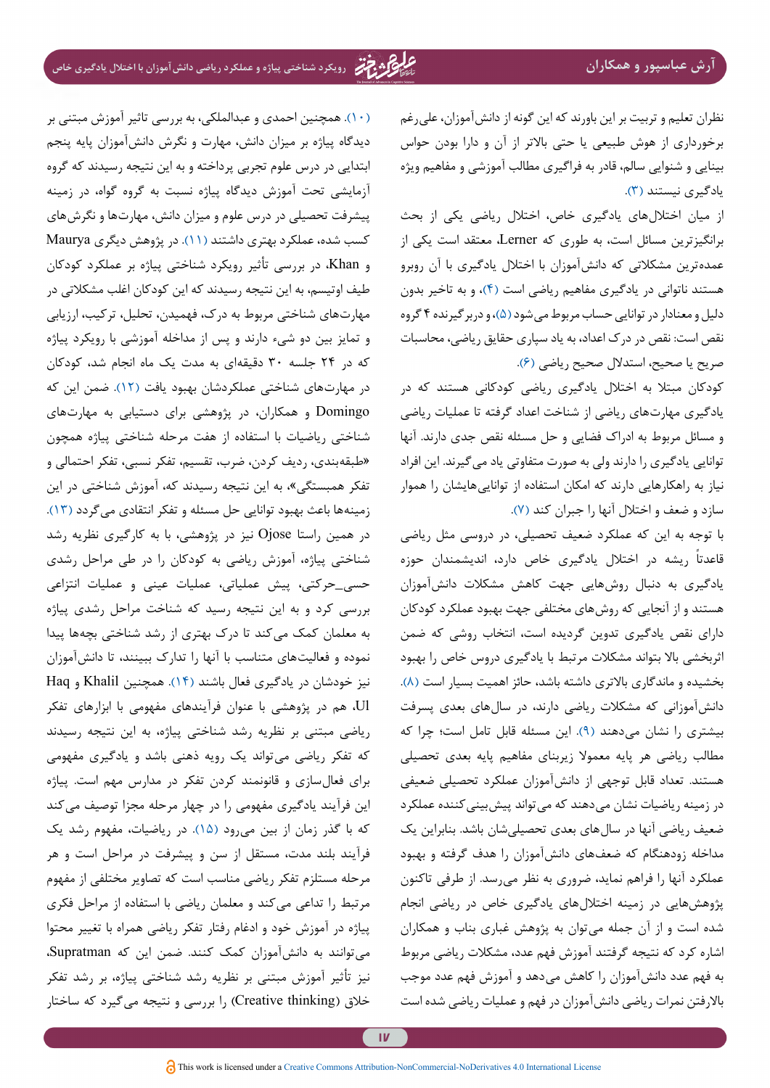نظران تعلیم و تربیت بر این باورند که این گونه از دانشآموزان، عليرغم برخورداری از هوش طبیعي یا حتي باالتر از آن و دارا بودن حواس بینایي و شنوایي سالم، قادر به فراگیری مطالب آموزشي و مفاهیم ویژه یادگیری نیستند [\)۳\(](#page-14-2).

از میان اختاللهای یادگیری خاص، اختالل ریاضي یکي از بحث برانگیزترین مسائل است، به طوری که Lerner، معتقد است یکي از عمدهترین مشکالتي که دانشآموزان با اختالل یادگیری با آن روبرو هستند ناتواني در یادگیری مفاهیم ریاضي است [\)۴\(](#page-14-3)، و به تاخیر بدون دلیل و معنادار در توانایی حساب مربوط میشود [\)۵\(](#page-14-4)، و دربرگیرنده ۴ گروه نقص است: نقص در درک اعداد، به یاد سپاری حقایق ریاضی، محاسبات صریح یا صحیح، استدالل صحیح ریاضی [\)۶](#page-14-5)(.

کودکان مبتال به اختالل یادگیری ریاضی کودکانی هستند که در یادگیری مهارتهای ریاضی از شناخت اعداد گرفته تا عملیات ریاضی و مسائل مربوط به ادراک فضایی و حل مسئله نقص جدی دارند. آنها توانایی یادگیری را دارند ولی به صورت متفاوتی یاد میگیرند. این افراد نیاز به راهکارهایی دارند که امکان استفاده از تواناییهایشان را هموار سازد و ضعف و اختالل آنها را جبران کند [\)۷\(](#page-14-6).

با توجه به این که عملکرد ضعیف تحصیلي، در دروسي مثل ریاضي ً ریشه در اختالل یادگیری خاص دارد، اندیشمندان حوزه قاعدتا یادگیری به دنبال روشهایي جهت کاهش مشکالت دانشآموزان هستند و از آنجایي که روشهای مختلفي جهت بهبود عملکرد کودکان دارای نقص یادگیری تدوین گردیده است، انتخاب روشي که ضمن اثربخشي باال بتواند مشکالت مرتبط با یادگیری دروس خاص را بهبود بخشیده و ماندگاری باالتری داشته باشد، حائز اهمیت بسیار است )[۸](#page-14-7)(. دانشآموزانی که مشکالت ریاضی دارند، در سالهای بعدی پسرفت بیشتری را نشان میدهند )[۹](#page-14-8)(. این مسئله قابل تامل است؛ چرا که مطالب ریاضی هر پایه معموال زیربنای مفاهیم پایه بعدی تحصیلی هستند. تعداد قابل توجهی از دانشآموزان عملکرد تحصیلی ضعیفی در زمینه ریاضیات نشان میدهند که میتواند پیشبینیکننده عملکرد ضعیف ریاضی آنها در سالهای بعدی تحصیلیشان باشد. بنابراین یک مداخله زودهنگام که ضعفهای دانشآموزان را هدف گرفته و بهبود عملکرد آنها را فراهم نماید، ضروری به نظر میرسد. از طرفی تاکنون پژوهشهایی در زمينه اختاللهای یادگیری خاص در ریاضي انجام شده است و از آن جمله میتوان به پژوهش غباری بناب و همکاران اشاره کرد که نتيجه گرفتند آموزش فهم عدد، مشکالت ریاضی مربوط به فهم عدد دانشآموزان را کاهش میدهد و آموزش فهم عدد موجب باالرفتن نمرات ریاضی دانشآموزان در فهم و عملیات ریاضی شده است

)[۱۰\(](#page-14-9). همچنین احمدی و عبدالملکی، به بررسی تاثیر آموزش مبتنی بر دیدگاه پیاژه بر میزان دانش، مهارت و نگرش دانشآموزان پایه پنجم ابتدایی در درس علوم تجربی پرداخته و به این نتیجه رسیدند که گروه آزمایشی تحت آموزش دیدگاه پیاژه نسبت به گروه گواه، در زمینه پیشرفت تحصیلی در درس علوم و میزان دانش، مهارتها و نگرشهای کسب شده، عملکرد بهتری داشتند [\)۱۱](#page-14-10)(. در پژوهش دیگری Maurya و Khan، در بررسی تأثیر رویکرد شناختی پیاژه بر عملکرد کودکان طیف اوتیسم، به این نتیجه رسیدند که این کودکان اغلب مشکالتی در مهارتهای شناختی مربوط به درک، فهمیدن، تحلیل، ترکیب، ارزیابی و تمایز بین دو شیء دارند و پس از مداخله آموزشی با رویکرد پیاژه که در ۲۴ جلسه ۳۰ دقیقهای به مدت یک ماه انجام شد، کودکان در مهارتهای شناختی عملکردشان بهبود یافت )[۱۲](#page-14-11)(. ضمن این که Domingo و همکاران، در پژوهشی برای دستیابی به مهارتهای شناختی ریاضیات با استفاده از هفت مرحله شناختی پیاژه همچون »طبقهبندی، ردیف کردن، ضرب، تقسیم، تفکر نسبی، تفکر احتمالی و تفکر همبستگی«، به این نتیجه رسیدند که، آموزش شناختی در این زمینهها باعث بهبود توانایی حل مسئله و تفکر انتقادی میگردد )[۱۳\(](#page-14-12). در همین راستا Ojose نیز در پژوهشی، با به کارگیری نظریه رشد شناختی پیاژه، آموزش ریاضی به کودکان را در طی مراحل رشدی حسی\_حرکتی، پیش عملیاتی، عملیات عینی و عملیات انتزاعی بررسی کرد و به این نتیجه رسید که شناخت مراحل رشدی پیاژه به معلمان کمک میکند تا درک بهتری از رشد شناختی بچهها پیدا نموده و فعالیتهای متناسب با آنها را تدارک ببینند، تا دانشآموزان نیز خودشان در یادگیری فعال باشند )[۱۴\(](#page-15-0). همچنین Khalil و Haq Ul، هم در پژوهشی با عنوان فرآیندهای مفهومی با ابزارهای تفکر ریاضی مبتنی بر نظریه رشد شناختی پیاژه، به این نتیجه رسیدند که تفکر ریاضی میتواند یک رویه ذهنی باشد و یادگیری مفهومی برای فعالسازی و قانونمند کردن تفکر در مدارس مهم است. پیاژه این فرآیند یادگیری مفهومی را در چهار مرحله مجزا توصیف میکند که با گذر زمان از بین میرود )[۱۵](#page-15-1)(. در ریاضیات، مفهوم رشد یک فرآیند بلند مدت، مستقل از سن و پیشرفت در مراحل است و هر مرحله مستلزم تفکر ریاضی مناسب است که تصاویر مختلفی از مفهوم مرتبط را تداعی میکند و معلمان ریاضی با استفاده از مراحل فکری پیاژه در آموزش خود و ادغام رفتار تفکر ریاضی همراه با تغییر محتوا میتوانند به دانشآموزان کمک کنند. ضمن این که Supratman، نیز تأثیر آموزش مبتنی بر نظریه رشد شناختی پیاژه، بر رشد تفکر خلاق (Creative thinking) را بررسی و نتیجه میگیرد که ساختار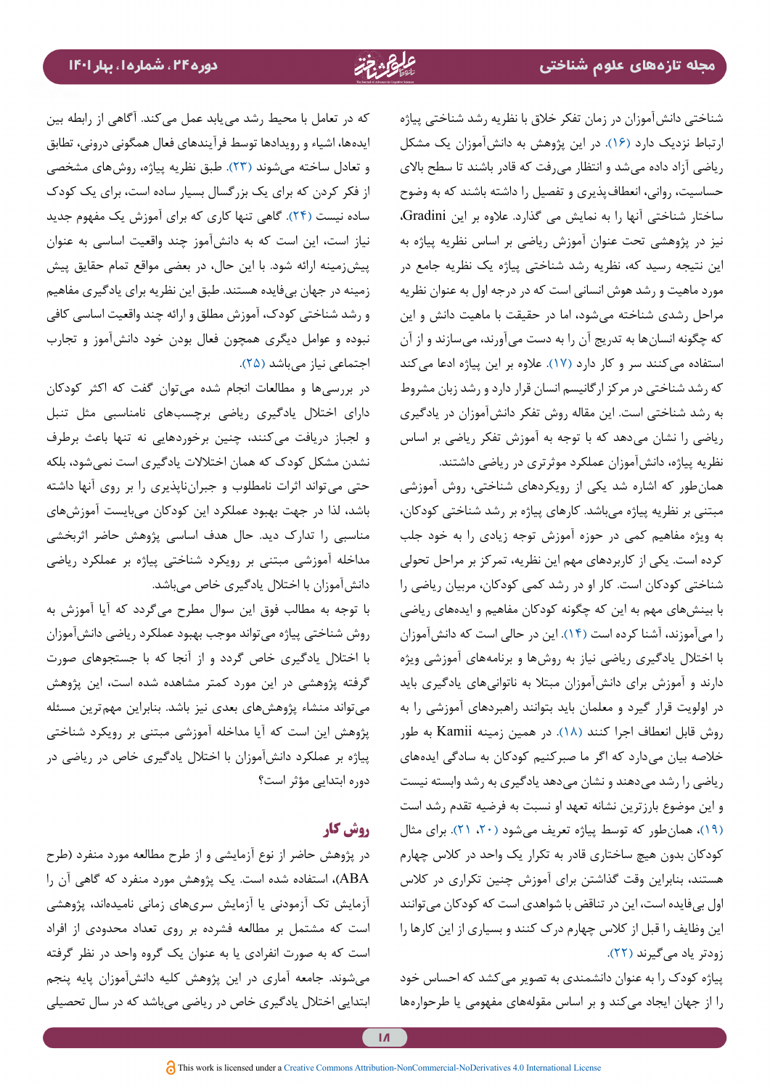شناختی دانشآموزان در زمان تفکر خالق با نظریه رشد شناختی پیاژه ارتباط نزدیک دارد [\)۱۶\(](#page-15-2). در این پژوهش به دانشآموزان یک مشکل ریاضی آزاد داده میشد و انتظار میرفت که قادر باشند تا سطح باالی حساسیت، روانی، انعطافپذیری و تفصیل را داشته باشند که به وضوح ساختار شناختی آنها را به نمایش می گذارد. عالوه بر این Gradini، نیز در پژوهشی تحت عنوان آموزش ریاضی بر اساس نظریه پیاژه به این نتیجه رسید که، نظریه رشد شناختی پیاژه یک نظریه جامع در مورد ماهیت و رشد هوش انسانی است که در درجه اول به عنوان نظریه مراحل رشدی شناخته میشود، اما در حقیقت با ماهیت دانش و این که چگونه انسانها به تدریج آن را به دست میآورند، میسازند و از آن استفاده میکنند سر و کار دارد [\)۱۷\(](#page-15-3). عالوه بر این پیاژه ادعا میکند که رشد شناختی در مرکز ارگانیسم انسان قرار دارد و رشد زبان مشروط به رشد شناختی است. این مقاله روش تفکر دانشآموزان در یادگیری ریاضی را نشان میدهد که با توجه به آموزش تفکر ریاضی بر اساس نظریه پیاژه، دانشآموزان عملکرد موثرتری در ریاضی داشتند.

همانطور که اشاره شد یکی از رویکردهای شناختی، روش آموزشی مبتنی بر نظریه پياژه میباشد. کارهای پیاژه بر رشد شناختی کودکان، به ویژه مفاهیم کمی در حوزه آموزش توجه زیادی را به خود جلب کرده است. یکی از کاربردهای مهم این نظریه، تمرکز بر مراحل تحولی شناختی کودکان است. کار او در رشد کمی کودکان، مربیان ریاضی را با بینشهای مهم به این که چگونه کودکان مفاهیم و ایدههای ریاضی را میآموزند، آشنا کرده است )[۱۴](#page-15-0)(. این در حالی است که دانشآموزان با اختالل یادگیری ریاضی نیاز به روشها و برنامههای آموزشی ویژه دارند و آموزش برای دانشآموزان مبتال به ناتوانیهای یادگیری باید در اولویت قرار گیرد و معلمان باید بتوانند راهبردهای آموزشی را به روش قابل انعطاف اجرا کنند [\)۱۸\(](#page-15-4). در همین زمینه Kamii به طور خالصه بیان میدارد که اگر ما صبرکنیم کودکان به سادگی ایدههای ریاضی را رشد میدهند و نشان میدهد یادگیری به رشد وابسته نیست و این موضوع بارزترین نشانه تعهد او نسبت به فرضیه تقدم رشد است [\)۱۹\(](#page-15-7)، همانطور که توسط پیاژه تعریف میشود [\)،۲۰](#page-15-6) [۲۱\(](#page-15-5). برای مثال کودکان بدون هیچ ساختاری قادر به تکرار یک واحد در کالس چهارم هستند، بنابراین وقت گذاشتن برای آموزش چنین تکراری در کالس اول بیفایده است، این در تناقض با شواهدی است که کودکان میتوانند این وظایف را قبل از کالس چهارم درک کنند و بسیاری از این کارها را زودتر یاد میگیرند (۲۲).

پیاژه کودک را به عنوان دانشمندي به تصویر میکشد که احساس خود را از جهان ایجاد میکند و بر اساس مقولههای مفهومی یا طرحوارهها

که در تعامل با محیط رشد مییابد عمل میکند. آگاهی از رابطه بین ایدهها، اشیاء و رویدادها توسط فرآیندهای فعال همگونی درونی، تطابق و تعادل ساخته میشوند )[۲۳](#page-15-9)(. طبق نظریه پیاژه، روشهای مشخصی از فکر کردن که برای یک بزرگسال بسیار ساده است، برای یک کودک ساده نیست )[۲۴\(](#page-15-10). گاهی تنها کاری که برای آموزش یک مفهوم جدید نیاز است، این است که به دانشآموز چند واقعیت اساسی به عنوان پیشزمینه ارائه شود. با این حال، در بعضی مواقع تمام حقایق پیش زمینه در جهان بیفایده هستند. طبق این نظریه برای یادگیری مفاهیم و رشد شناختی کودک، آموزش مطلق و ارائه چند واقعیت اساسی کافی نبوده و عوامل دیگری همچون فعال بودن خود دانشآموز و تجارب اجتماعی نیاز می باشد (۲۵).

در بررسيها و مطالعات انجام شده ميتوان گفت كه اکثر کودکان دارای اختالل یادگیری ریاضی برچسبهای نامناسبی مثل تنبل و لجباز دريافت مي كنند، چنین برخوردهایی نه تنها باعث برطرف نشدن مشکل کودک که همان اختالالت یادگیری است نمیشود، بلکه حتی میتواند اثرات نامطلوب و جبرانناپذیری را بر روی آنها داشته باشد، لذا در جهت بهبود عملکرد این کودکان میبایست آموزشهای مناسبی را تدارک ديد. حال هدف اساسی پژوهش حاضر اثربخشی مداخله آموزشی مبتنی بر رویکرد شناختی پیاژه بر عملکرد ریاضی دانشآموزان با اختالل یادگیری خاص میباشد.

با توجه به مطالب فوق اين سوال مطرح ميگردد كه آيا آموزش به روش شناختی پیاژه میتواند موجب بهبود عملکرد ریاضی دانشآموزان با اختالل یادگیری خاص گردد و از آنجا که با جستجوهای صورت گرفته پژوهشی در این مورد كمتر مشاهده شده است، این پژوهش میتواند منشاء پژوهشهای بعدی نیز باشد. بنابراین مهمترين مسئله پژوهش این است که آیا مداخله آموزشی مبتنی بر رویکرد شناختی پیاژه بر عملكرد دانشآموزان با اختالل یادگیری خاص در ریاضی در دوره ابتدایی مؤثر است؟

# **روش کار**

در پژوهش حاضر از نوع آزمایشی و از طرح مطالعه مورد منفرد )طرح ABA)، استفاده شده است. یک پژوهش مورد منفرد که گاهی آن را آزمایش تک آزمودنی یا آزمایش سریهای زمانی نامیدهاند، پژوهشی است که مشتمل بر مطالعه فشرده بر روی تعداد محدودی از افراد است که به صورت انفرادی یا به عنوان یک گروه واحد در نظر گرفته میشوند. جامعه آماری در این پژوهش کلیه دانشآموزان پایه پنجم ابتدایی اختالل یادگیری خاص در ریاضی میباشد که در سال تحصیلی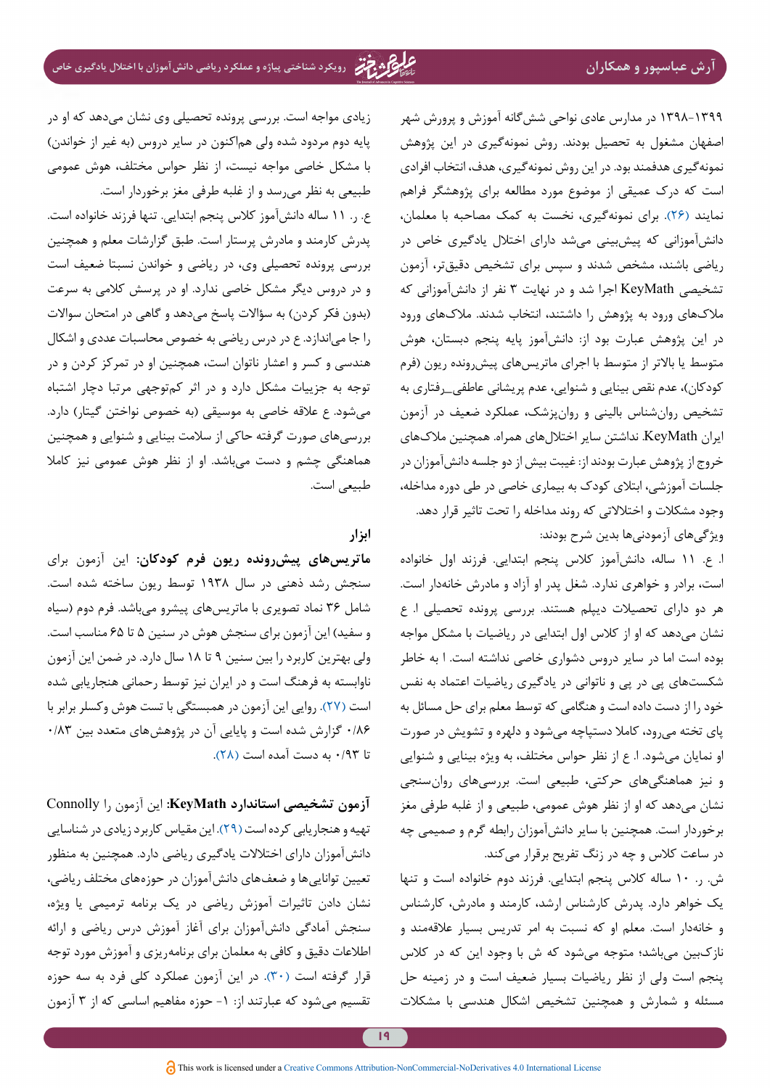۱۳۹8-۱۳۹9 در مدارس عادی نواحی ششگانه آموزش و پرورش شهر اصفهان مشغول به تحصیل بودند. روش نمونهگیری در این پژوهش نمونهگیری هدفمند بود. در این روش نمونهگیری، هدف، انتخاب افرادی است که درک عمیقی از موضوع مورد مطالعه برای پژوهشگر فراهم نمایند )[۲۶](#page-15-12)(. برای نمونهگیری، نخست به کمک مصاحبه با معلمان، دانشآموزانی که پیشبینی میشد دارای اختالل یادگیری خاص در ریاضی باشند، مشخص شدند و سپس برای تشخیص دقیقتر، آزمون تشخیصی KeyMath اجرا شد و در نهایت ۳ نفر از دانشآموزانی که مالکهای ورود به پژوهش را داشتند، انتخاب شدند. مالکهای ورود در این پژوهش عبارت بود از: دانشآموز پایه پنجم دبستان، هوش متوسط یا باالتر از متوسط با اجرای ماتریسهای پیشرونده ریون )فرم کودکان)، عدم نقص بینایی و شنوایی، عدم پریشانی عاطفی\_رفتاری به تشخیص روانشناس بالینی و روانپزشک، عملکرد ضعیف در آزمون ایران KeyMath. نداشتن سایر اختاللهای همراه. همچنین مالکهای خروج از پژوهش عبارت بودند از: غیبت بیش از دو جلسه دانشآموزان در جلسات آموزشی، ابتالی کودک به بیماری خاصی در طی دوره مداخله، وجود مشکالت و اختالالتی که روند مداخله را تحت تاثیر قرار دهد. ویژگیهای آزمودنیها بدین شرح بودند:

ا. ع. ۱۱ ساله، دانشآموز کالس پنجم ابتدایی. فرزند اول خانواده است، برادر و خواهری ندارد. شغل پدر او آزاد و مادرش خانهدار است. هر دو دارای تحصیالت دیپلم هستند. بررسی پرونده تحصیلی ا. ع نشان میدهد که او از کالس اول ابتدایی در ریاضیات با مشکل مواجه بوده است اما در سایر دروس دشواری خاصی نداشته است. ا به خاطر شکستهای پی در پی و ناتوانی در یادگیری ریاضیات اعتماد به نفس خود را از دست داده است و هنگامی که توسط معلم برای حل مسائل به پای تخته میرود، کامال دستپاچه میشود و دلهره و تشویش در صورت او نمایان میشود. ا. ع از نظر حواس مختلف، به ویژه بینایی و شنوایی و نیز هماهنگیهای حرکتی، طبیعی است. بررسیهای روانسنجی نشان میدهد که او از نظر هوش عمومی، طبیعی و از غلبه طرفی مغز برخوردار است. همچنین با سایر دانشآموزان رابطه گرم و صمیمی چه در ساعت کالس و چه در زنگ تفریح برقرار میکند.

ش. ر. ۱۰ ساله کالس پنجم ابتدایی. فرزند دوم خانواده است و تنها یک خواهر دارد. پدرش کارشناس ارشد، کارمند و مادرش، کارشناس و خانهدار است. معلم او که نسبت به امر تدریس بسیار عالقهمند و نازکبین میباشد؛ متوجه میشود که ش با وجود این که در کالس پنجم است ولی از نظر ریاضیات بسیار ضعیف است و در زمینه حل مسئله و شمارش و همچنین تشخیص اشکال هندسی با مشکالت

زیادی مواجه است. بررسی پرونده تحصیلی وی نشان میدهد که او در پایه دوم مردود شده ولی هماکنون در سایر دروس (به غیر از خواندن) با مشکل خاصی مواجه نیست، از نظر حواس مختلف، هوش عمومی طبیعی به نظر میرسد و از غلبه طرفی مغز برخوردار است.

ع. ر. ۱۱ ساله دانشآموز کالس پنجم ابتدایی. تنها فرزند خانواده است. پدرش کارمند و مادرش پرستار است. طبق گزارشات معلم و همچنین بررسی پرونده تحصیلی وی، در ریاضی و خواندن نسبتا ضعیف است و در دروس دیگر مشکل خاصی ندارد. او در پرسش کالمی به سرعت (بدون فکر کردن) به سؤالات پاسخ میدهد و گاهی در امتحان سوالات را جا میاندازد. ع در درس ریاضی به خصوص محاسبات عددی و اشکال هندسی و کسر و اعشار ناتوان است، همچنین او در تمرکز کردن و در توجه به جزییات مشکل دارد و در اثر کمتوجهی مرتبا دچار اشتباه میشود. ع علاقه خاصی به موسیقی (به خصوص نواختن گیتار) دارد. بررسیهای صورت گرفته حاکی از سالمت بینایی و شنوایی و همچنین هماهنگی چشم و دست میباشد. او از نظر هوش عمومی نیز کامال طبیعی است.

# **ابزار**

**ماتریسهاي پیشرونده ریون فرم کودکان:** این آزمون برای سنجش رشد ذهنی در سال ۱۹۳۸ توسط ریون ساخته شده است. شامل ۳۶ نماد تصویری با ماتریسهای پیشرو میباشد. فرم دوم )سیاه و سفید) این آزمون برای سنجش هوش در سنین ۵ تا ۶۵ مناسب است. ولی بهترین کاربرد را بین سنین ۹ تا ۱۸ سال دارد. در ضمن این آزمون ناوابسته به فرهنگ است و در ایران نيز توسط رحمانی هنجاریابی شده است [\)۲۷\(](#page-15-13). روایی این آزمون در همبستگی با تست هوش وکسلر برابر با ۰/۸۶ گزارش شده است و پایایی آن در پژوهشهای متعدد بین ۰/۸۳ تا ۰/۹۳ به دست آمده است )[۲۸](#page-15-14)(.

**آزمون تشخیصی استاندارد KeyMath:** این آزمون را Connolly تهیه و هنجاریابی کرده است [\)۲۹](#page-15-15)(. این مقیاس کاربرد زیادی در شناسایی دانشآموزان دارای اختالالت یادگیری ریاضی دارد. همچنین به منظور تعیین تواناییها و ضعفهای دانشآموزان در حوزههای مختلف ریاضی، نشان دادن تاثیرات آموزش ریاضی در یک برنامه ترمیمی یا ویژه، سنجش آمادگی دانشآموزان برای آغاز آموزش درس ریاضی و ارائه اطالعات دقیق و کافی به معلمان برای برنامهریزی و آموزش مورد توجه قرار گرفته است )[۳۰\(](#page-15-16). در این آزمون عملکرد کلی فرد به سه حوزه تقسیم میشود که عبارتند از: -۱ حوزه مفاهیم اساسی که از ۳ آزمون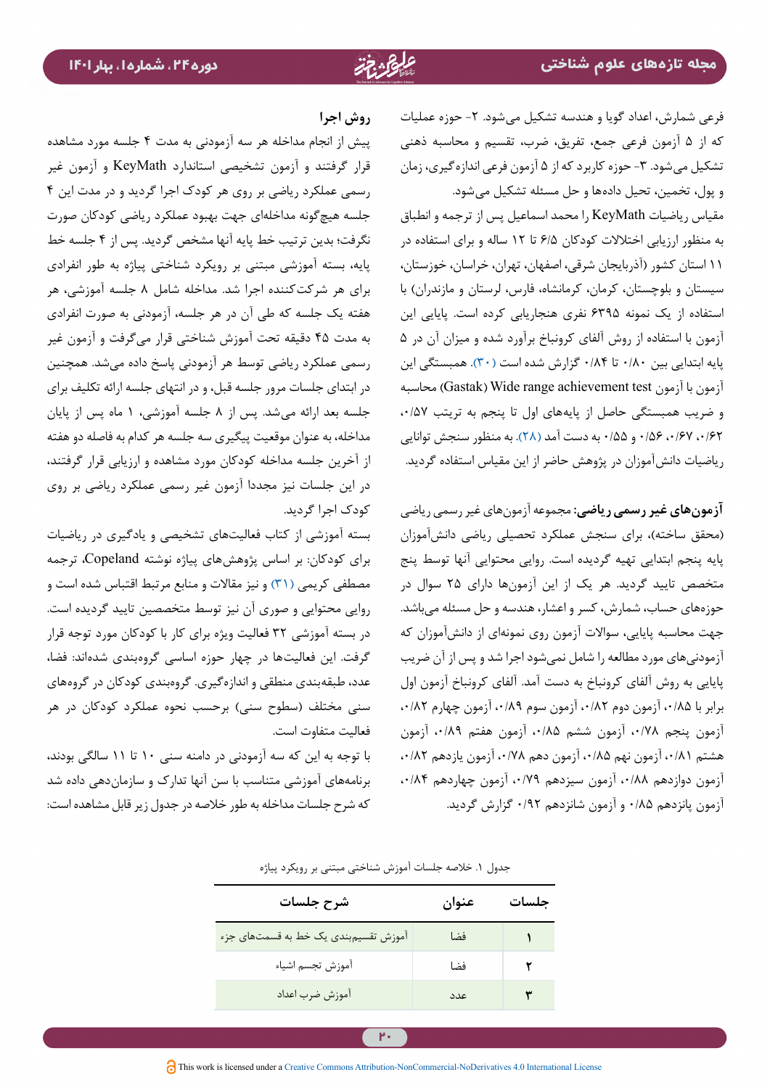**روش اجرا**

کودک اجرا گردید.

فعالیت متفاوت است.

پیش از انجام مداخله هر سه آزمودنی به مدت ۴ جلسه مورد مشاهده قرار گرفتند و آزمون تشخیصی استاندارد KeyMath و آزمون غیر رسمی عملکرد ریاضی بر روی هر کودک اجرا گردید و در مدت اين ۴ جلسه هیچگونه مداخلهای جهت بهبود عملکرد ریاضی کودکان صورت نگرفت؛ بدین ترتیب خط پایه آنها مشخص گردید. پس از ۴ جلسه خط پایه، بسته آموزشی مبتنی بر رویکرد شناختی پیاژه به طور انفرادی برای هر شرکتکننده اجرا شد. مداخله شامل ۸ جلسه آموزشی، هر هفته یک جلسه که طی آن در هر جلسه، آزمودنی به صورت انفرادی به مدت ۴۵ دقیقه تحت آموزش شناختی قرار میگرفت و آزمون غیر رسمی عملکرد ریاضی توسط هر آزمودنی پاسخ داده میشد. همچنین در ابتدای جلسات مرور جلسه قبل، و در انتهای جلسه ارائه تکلیف برای جلسه بعد ارائه میشد. پس از ۸ جلسه آموزشی، ۱ ماه پس از پایان مداخله، به عنوان موقعیت پیگیری سه جلسه هر کدام به فاصله دو هفته از آخرین جلسه مداخله كودكان مورد مشاهده و ارزيابي قرار گرفتند، در این جلسات نیز مجددا آزمون غیر رسمی عملکرد ریاضی بر روی

بسته آموزشی از کتاب فعالیتهای تشخیصی و یادگیری در ریاضیات برای کودکان: بر اساس پژوهشهای پیاژه نوشته Copeland، ترجمه مصطفی کریمی [\)۳۱\(](#page-15-17) و نیز مقاالت و منابع مرتبط اقتباس شده است و روایی محتوایی و صوری آن نیز توسط متخصصین تایید گردیده است. در بسته آموزشی ۳۲ فعالیت ویژه برای کار با کودکان مورد توجه قرار گرفت. این فعالیتها در چهار حوزه اساسی گروهبندی شدهاند: فضا، عدد، طبقهبندی منطقی و اندازهگیری. گروهبندی کودکان در گروههای سنی مختلف )سطوح سنی( برحسب نحوه عملکرد کودکان در هر

با توجه به این که سه آزمودنی در دامنه سني ۱۰ تا ۱۱ سالگي بودند، برنامههای آموزشی متناسب با سن آنها تدارک و سازماندهی داده شد که شرح جلسات مداخله به طور خالصه در جدول زیر قابل مشاهده است: فرعی شمارش، اعداد گویا و هندسه تشکیل میشود. -۲ حوزه عملیات که از ۵ آزمون فرعی جمع، تفریق، ضرب، تقسیم و محاسبه ذهنی تشکیل می شود. ۳- حوزه کاربرد که از ۵ آزمون فرعی اندازه گیری، زمان و پول، تخمین، تحیل دادهها و حل مسئله تشکیل میشود.

مقیاس ریاضیات KeyMath را محمد اسماعیل پس از ترجمه و انطباق به منظور ارزیابی اختالالت کودکان ۶/۵ تا ۱۲ ساله و برای استفاده در ۱۱ استان کشور )آذربایجان شرقی، اصفهان، تهران، خراسان، خوزستان، سیستان و بلوچستان، کرمان، کرمانشاه، فارس، لرستان و مازندران( با استفاده از یک نمونه ۶۳۹۵ نفری هنجاریابی کرده است. پایایی این آزمون با استفاده از روش آلفای کرونباخ برآورد شده و میزان آن در ۵ پایه ابتدایی بین ۰/۸۰ تا ۰/۸۴ گزارش شده است [\)۳۰](#page-15-16)(. همبستگی این آزمون با آزمون test achievement range Wide) Gastak )محاسبه و ضریب همبستگی حاصل از پایههای اول تا پنجم به تریتب ،۰/۵۷ ،۰/۶۲ ،۰/۶۷ ۰/۵۶ و ۰/۵۵ به دست آمد [\)۲۸](#page-15-14)(. به منظور سنجش توانایی ریاضیات دانشآموزان در پژوهش حاضر از این مقیاس استفاده گردید.

**آزمونهای غیر رسمی ریاضی:** مجموعه آزمونهای غیر رسمی ریاضی (محقق ساخته)، برای سنجش عملکرد تحصیلی ریاضی دانشآموزان پایه پنجم ابتدایی تهیه گردیده است. روایی محتوایی آنها توسط پنج متخصص تایید گردید. هر یک از این آزمونها دارای ۲۵ سوال در حوزههای حساب، شمارش، کسر و اعشار، هندسه و حل مسئله میباشد. جهت محاسبه پایایی، سواالت آزمون روی نمونهای از دانشآموزان که آزمودنیهای مورد مطالعه را شامل نمیشود اجرا شد و پس از آن ضریب پایایی به روش آلفای کرونباخ به دست آمد. آلفای کرونباخ آزمون اول برابر با ،۰/۸۵ آزمون دوم ،۰/۸۲ آزمون سوم ،۰/۸۹ آزمون چهارم ،۰/۸۲ آزمون پنجم ،۰/۷۸ آزمون ششم ،۰/۸۵ آزمون هفتم ،۰/۸۹ آزمون هشتم ،۰/۸۱ آزمون نهم ،۰/۸۵ آزمون دهم ،۰/۷۸ آزمون یازدهم ،۰/۸۲ آزمون دوازدهم ،۰/۸۸ آزمون سیزدهم ،۰/۷۹ آزمون چهاردهم ،۰/۸۴ آزمون پانزدهم ۰/۸۵ و آزمون شانزدهم ۰/۹۲ گزارش گردید.

| شرح جلسات                            | عنوان | حلسات |
|--------------------------------------|-------|-------|
| آموزش تقسیم٬ندی یک خط به قسمتهای جزء | فضا   |       |
| آموزش تجسم اشياء                     | فضا   | ۲     |
| آموزش ضرب اعداد                      | عدد   |       |

جدول .۱ خالصه جلسات آموزش شناختی مبتنی بر رویکرد پیاژه

<u>۳۰</u>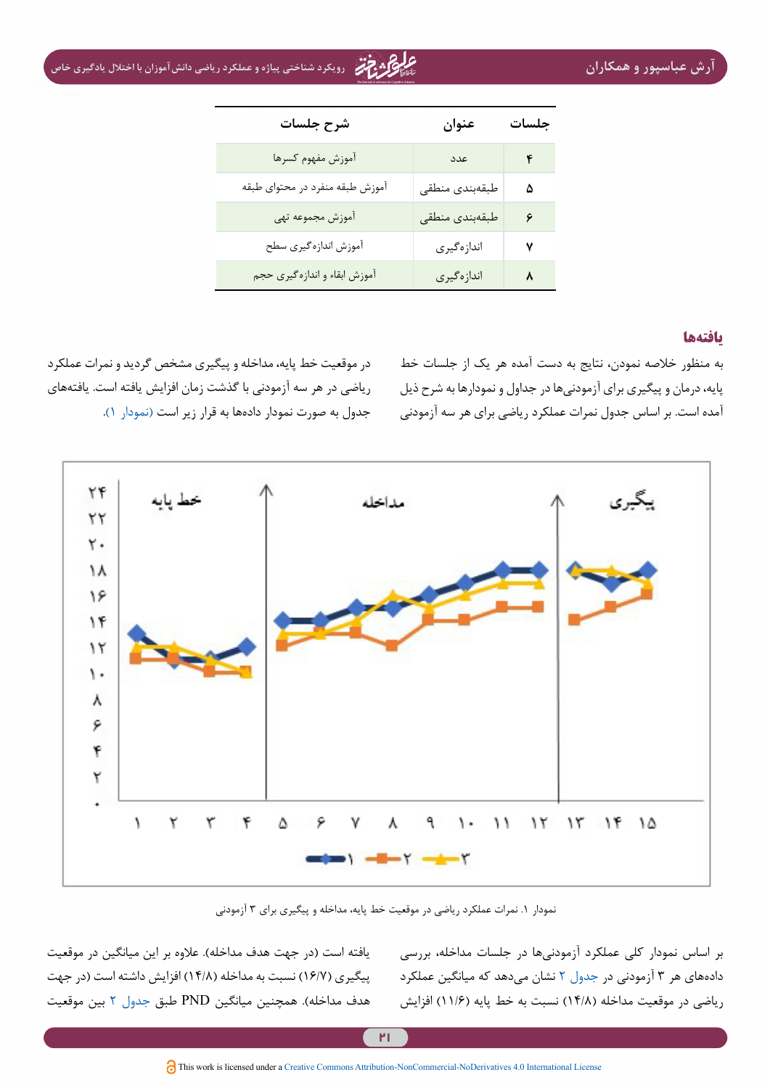ی با با اختلال استبار و همک**اران رویکرد و همکاران و عملکرد و عملکرد ریاضی دانشآموزان با اختلال یادگیری خاص**<br>آرش عباسپور و همکاران

| شرح جلسات                       | عنوان          | جلسات |
|---------------------------------|----------------|-------|
| أموزش مفهوم كسرها               | عدد            | ۴     |
| آموزش طبقه منفرد در محتواي طبقه | طبقهبندى منطقى | ۵     |
| آموزش مجموعه تهى                | طبقهبندى منطقى | ۶     |
| أموزش اندازه گيري سطح           | اندازهگیری     | ٧     |
| أموزش ابقاء و اندازه گیری حجم   | اندازهگیری     | ٨     |

#### **یافتهها**

به منظور خالصه نمودن، نتایج به دست آمده هر یک از جلسات خط پایه، درمان و پیگیری برای آزمودنیها در جداول و نمودارها به شرح ذیل آمده است. بر اساس جدول نمرات عملکرد ریاضی برای هر سه آزمودنی

در موقعیت خط پایه، مداخله و پیگیری مشخص گردید و نمرات عملکرد ریاضی در هر سه آزمودنی با گذشت زمان افزایش یافته است. یافتههای جدول به صورت نمودار دادهها به قرار زیر است (نمودار ۱).



نمودار .۱ نمرات عملکرد ریاضی در موقعيت خط پايه، مداخله و پيگيري براي ۳ آزمودني

یافته است (در جهت هدف مداخله). علاوه بر این میانگین در موقعیت پیگیری (۱۶/۷) نسبت به مداخله (۱۴/۸) افزایش داشته است (در جهت هدف مداخله(. همچنین میانگین PND طبق [جدول 2](#page-10-0) بین موقعیت

<span id="page-9-0"></span>بر اساس نمودار کلی عملکرد آزمودنیها در جلسات مداخله، بررسی دادههای هر ۳ آزمودنی در [جدول 2](#page-10-0) نشان میدهد که میانگین عملکرد ریاضی در موقعیت مداخله (۱۴/۸) نسبت به خط پایه (۱۱/۶) افزایش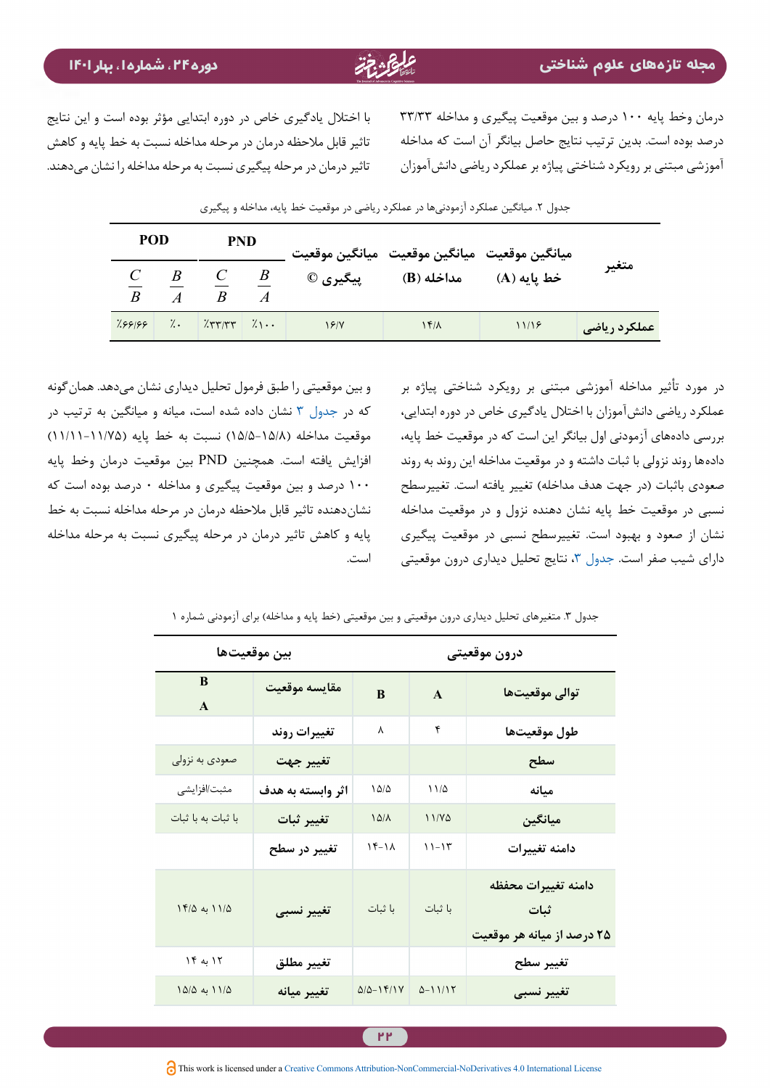<span id="page-10-0"></span>درمان وخط پایه ۱۰۰ درصد و بین موقعیت پیگیری و مداخله ۳۳/۳۳ درصد بوده است. بدین ترتیب نتایج حاصل بیانگر آن است که مداخله آموزشی مبتنی بر رویکرد شناختی پیاژه بر عملکرد ریاضی دانشآموزان

با اختالل یادگیری خاص در دوره ابتدایی مؤثر بوده است و این نتایج تاثیر قابل مالحظه درمان در مرحله مداخله نسبت به خط پایه و کاهش تاثیر درمان در مرحله پیگیری نسبت به مرحله مداخله را نشان میدهند.

|                | <b>POD</b><br><b>PND</b> |                                                 |                | ميانگين موقعيت ميانگين موقعيت ميانگين موقعيت |              |             |                       |
|----------------|--------------------------|-------------------------------------------------|----------------|----------------------------------------------|--------------|-------------|-----------------------|
| $\overline{B}$ | $\overline{A}$           | $\begin{array}{cccc} C & B & C & B \end{array}$ | $\overline{A}$ | پیگیری ©                                     | مداخله (B)   | خط يايه (A) | متغير                 |
|                |                          | $7.99199$ 7. $7.99197$ 7.                       |                | 19/1                                         | $1f/\lambda$ | 11/18       | <b>ً عملکرد ریاضی</b> |

جدول ۲. میانگین عملکرد آزمودنیها در عملکرد ریاضی در موقعیت خط پایه، مداخله و پیگیری

و بین موقعیتی را طبق فرمول تحلیل دیداری نشان میدهد. همانگونه که در [جدول 3](#page-10-1) نشان داده شده است، میانه و میانگین به ترتیب در موقعیت مداخله )۱۵/5-15/8( نسبت به خط پایه )۱۱/۱۱-11/75( افزایش یافته است. همچنین PND بین موقعیت درمان وخط پایه ۱۰۰ درصد و بین موقعیت پیگیری و مداخله ۰ درصد بوده است که نشاندهنده تاثیر قابل مالحظه درمان در مرحله مداخله نسبت به خط پایه و کاهش تاثیر درمان در مرحله پیگیری نسبت به مرحله مداخله است.

<span id="page-10-1"></span>در مورد تأثیر مداخله آموزشی مبتنی بر رویکرد شناختی پیاژه بر عملکرد ریاضی دانشآموزان با اختالل یادگیری خاص در دوره ابتدایی، بررسی دادههای آزمودنی اول بیانگر اين است که در موقعیت خط پایه، دادهها روند نزولی با ثبات داشته و در موقعیت مداخله این روند به روند صعودی باثبات (در جهت هدف مداخله) تغییر یافته است. تغییرسطح نسبی در موقعیت خط پایه نشان دهنده نزول و در موقعیت مداخله نشان از صعود و بهبود است. تغییرسطح نسبی در موقعیت پیگیری دارای شیب صفر است. جدول ۳، نتایج تحلیل دیداری درون موقعیتی

| بين موقعيتها       | درون موقعيتى      |                                              |                   |                                                           |
|--------------------|-------------------|----------------------------------------------|-------------------|-----------------------------------------------------------|
| B<br>$\mathbf{A}$  | مقايسه موقعيت     | B                                            | $\mathbf{A}$      | توالى موقعيتها                                            |
|                    | تغييرات روند      | ٨                                            | ۴                 | طول موقعيتها                                              |
| صعودي به نزولي     | تغيير جهت         |                                              |                   | سطح                                                       |
| مثبت/افزايشي       | اثر وابسته به هدف | 10/2                                         | $11/\Delta$       | ميانه                                                     |
| با ثبات به با ثبات | تغيير ثبات        | $10/\lambda$                                 | 11/Y <sub>0</sub> | ميانگين                                                   |
|                    | تغییر در سطح      | $\lambda f - \lambda \lambda$                | $11 - 17$         | دامنه تغييرات                                             |
| ۱۱/۵ به ۱۴/۵       | تغيير نسبى        | با ثبات                                      | با ثبات           | دامنه تغييرات محفظه<br>ثبات<br>۲۵ درصد از میانه هر موقعیت |
| ۱۲ به ۱۴           | تغيير مطلق        |                                              |                   | تغيير سطح                                                 |
| ١١/٥ به ١٥/٥       | تغيير ميانه       | $\Delta/\Delta - 1$ $\mathsf{f}/1\mathsf{V}$ | $0 - 11/17$       | تغيير نسبى                                                |

جدول ۳. متغيرهاي تحليل ديداري درون موقعيتي و بين موقعيتي (خط پايه و مداخله) براي آزمودني شماره ۱

This work is licensed under a Creative Commons Attribution-NonCommercial-NoDerivatives 4.0 International License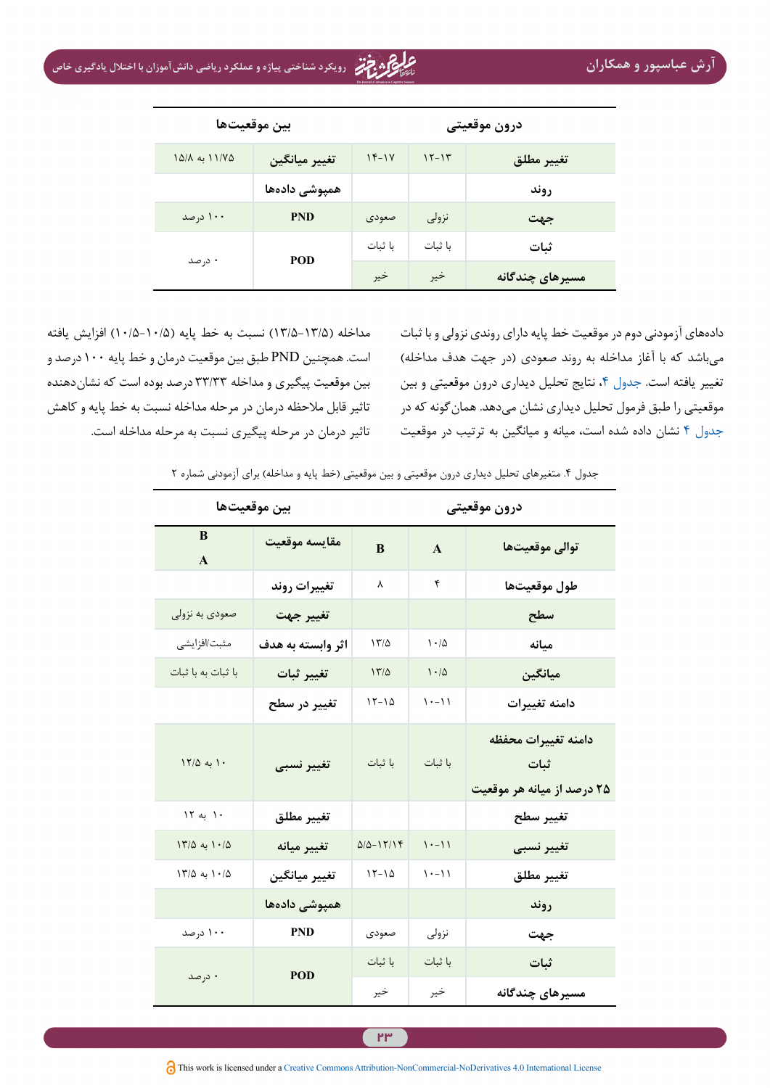| بين موقعيتها  |               | درون موقعيتى |         |                 |
|---------------|---------------|--------------|---------|-----------------|
| ۱۱/۷۵ به ۱۵/۸ | تغيير ميانگين | $15-1V$      | $15-15$ | تغيير مطلق      |
|               | همپوشی دادهها |              |         | روند            |
| ۱۰۰ درصد      | <b>PND</b>    | صعودى        | نزولى   | جهت             |
| ۰ درصد        | POD           | با ثبات      | با ثبات | ثبات            |
|               |               | خير          | خير     | مسیرهای چندگانه |

مداخله )۱۳/5-13/۵( نسبت به خط پایه )۱۰/5-10/۵( افزایش یافته است. همچنین PND طبق بین موقعیت درمان و خط پایه ۱۰۰ درصد و بین موقعیت پیگیری و مداخله ۳۳/۳۳ درصد بوده است که نشاندهنده تاثیر قابل مالحظه درمان در مرحله مداخله نسبت به خط پایه و کاهش تاثیر درمان در مرحله پیگیری نسبت به مرحله مداخله است. <span id="page-11-0"></span>دادههای آزمودنی دوم در موقعیت خط پایه دارای روندی نزولی و با ثبات میباشد که با آغاز مداخله به روند صعودی (در جهت هدف مداخله) تغییر یافته است. [جدول ،4](#page-11-0) نتایج تحلیل دیداری درون موقعیتی و بین موقعیتی را طبق فرمول تحلیل دیداری نشان میدهد. همانگونه که در [جدول 4](#page-11-0) نشان داده شده است، میانه و میانگین به ترتیب در موقعیت

جدول ۴. متغيرهاي تحليل ديداري درون موقعيتي و بين موقعيتي (خط پايه و مداخله) براي آزمودني شماره ۲

| بين موقعيتها        | درون موقعيتي         |              |                         |                                                                |
|---------------------|----------------------|--------------|-------------------------|----------------------------------------------------------------|
| B<br>$\mathbf{A}$   | مقايسه موقعيت        | B            | $\mathbf{A}$            | توالى موقعيتها                                                 |
|                     | تغييرات روند         | γ            | ۴                       | طول موقعيتها                                                   |
| صعودي به نزولي      | تغيير جهت            |              |                         | سطح                                                            |
| مثبت/افزايشى        | اثر وابسته به هدف    | 17/2         | 1.4                     | ميانه                                                          |
| با ثبات به با ثبات  | تغيير ثبات           | 17/0         | 1.10                    | ميانگين                                                        |
|                     | تغییر در سطح         | $15 - 10$    | $\left( -1\right)$      | دامنه تغييرات                                                  |
| ١٢/٥ به ١٢/٥        | تغيير نسبي           | با ثبات      | با ثبات                 | دامنه تغييرات محفظه<br>۔<br>ثبات<br>۲۵ درصد از میانه هر موقعیت |
| ۱۰ به ۱۲            | تغيير مطلق           |              |                         | تغيير سطح                                                      |
| $17/\Delta$ به ۱۰/۵ | تغيير ميانه          | $Q/Q - YY/Y$ | $1 - 11$                | تغيير نسبى                                                     |
| $17/\Delta$ به ۱۰/۵ | تغيير ميانگين        | $15 - 10$    | $\lambda$ + - $\lambda$ | تغيير مطلق                                                     |
|                     | همپوشی دادهها        |              |                         | روند                                                           |
| ۱۰۰ درصد            | <b>PND</b>           | صعودى        | نزولى                   | جهت                                                            |
|                     | ۰ درصد<br><b>POD</b> | با ثبات      | با ثبات                 | ثبات                                                           |
|                     |                      | خير          | خير                     | مسیرهای چندگانه                                                |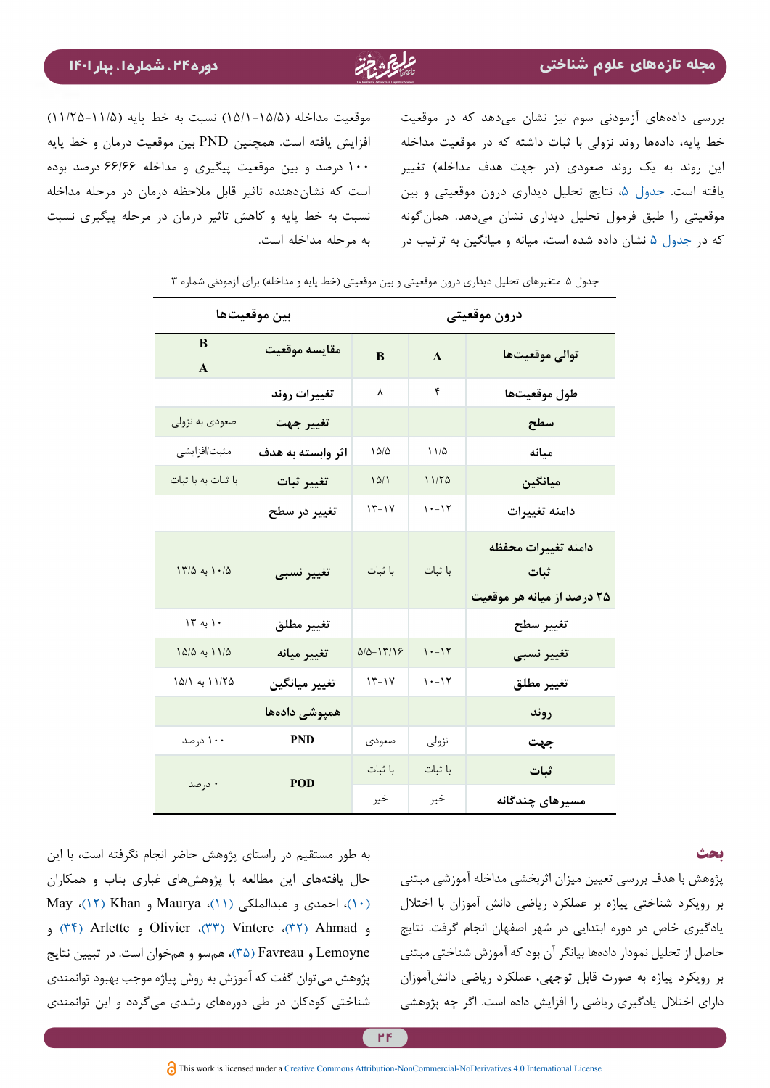بررسی دادههای آزمودنی سوم نیز نشان میدهد که در موقعیت خط پایه، دادهها روند نزولی با ثبات داشته که در موقعیت مداخله این روند به یک روند صعودی (در جهت هدف مداخله) تغییر یافته است. [جدول](#page-12-0) ،[5](#page-12-0) نتایج تحلیل دیداری درون موقعیتی و بین موقعیتی را طبق فرمول تحلیل دیداری نشان میدهد. همانگونه که در [جدول 5](#page-12-0) نشان داده شده است، میانه و میانگین به ترتیب در

موقعیت مداخله )۱۵/1-15/۵( نسبت به خط پایه )۱۱/25-11/۵( افزایش یافته است. همچنین PND بین موقعیت درمان و خط پایه ۱۰۰ درصد و بین موقعیت پیگیری و مداخله ۶۶/۶۶ درصد بوده است که نشاندهنده تاثیر قابل مالحظه درمان در مرحله مداخله نسبت به خط پایه و کاهش تاثیر درمان در مرحله پیگیری نسبت به مرحله مداخله است.

| بين موقعيتها       | درون موقعيتى      |                  |              |                                                           |
|--------------------|-------------------|------------------|--------------|-----------------------------------------------------------|
| B<br>$\mathbf{A}$  | مقايسه موقعيت     | B                | $\mathbf{A}$ | توالى موقعيتها                                            |
|                    | تغييرات روند      | ٨                | ۴            | طول موقعيتها                                              |
| صعودي به نزولي     | تغيير جهت         |                  |              | سطح                                                       |
| مثبت/افزايشي       | اثر وابسته به هدف | $1\Delta/\Delta$ | 11/2         | ميانه                                                     |
| با ثبات به با ثبات | تغيير ثبات        | 10/1             | 11/50        | ميانگين                                                   |
|                    | تغییر در سطح      | $15 - 14$        | $1 - 17$     | دامنه تغييرات                                             |
| ۱۰/۵ به ۱۳/۵       | تغيير نسبى        | با ثبات          | با ثبات      | دامنه تغييرات محفظه<br>ثبات<br>۲۵ درصد از میانه هر موقعیت |
| ۱۲ به ۱۳           | تغيير مطلق        |                  |              | تغيير سطح                                                 |
| ١١/٥ به ١٥/٥       | تغيير ميانه       | $Q/Q - Y''/Y$    | $1 - 17$     | تغيير نسبى                                                |
| ۱۱/۲۵ به ۱۵/۱      | تغيير ميانگين     | $15 - 14$        | $1 - 17$     | تغيير مطلق                                                |
|                    | همپوشی دادهها     |                  |              | روند                                                      |
| ۱۰۰ درصد           | <b>PND</b>        | صعودى            | نزولي        | جهت                                                       |
|                    | POD               | با ثبات          | با ثبات      | ثبات                                                      |
| ۰ درصد             |                   | خير              | خير          | مسیرهای چندگانه                                           |

جدول ۵. متغيرهاي تحليل ديداري درون موقعيتي و بين موقعيتي (خط پايه و مداخله) براي آزمودني شماره ۳

#### <span id="page-12-0"></span>**بحث**

به طور مستقیم در راستای پژوهش حاضر انجام نگرفته است، با این حال یافتههای این مطالعه با پژوهشهای غباری بناب و همکاران [\)۱۰\(](#page-14-9)، احمدی و عبدالملکی [\)۱۱\(](#page-14-10)، Maurya و Khan( [۱۲\)](#page-14-11)، May و Ahmad( [۳۲\)](#page-15-20)، Vintere( [۳۳](#page-15-19))، Olivier و Arlette( [۳۴](#page-15-18) [\)](#page-15-18)و Lemoyne و Favreau( [۳۵\)](#page-15-21)، همسو و همخوان است. در تبیین نتايج پژوهش میتوان گفت که آموزش به روش پیاژه موجب بهبود توانمندی شناختی کودکان در طی دورههای رشدی میگردد و این توانمندی

پژوهش با هدف بررسي تعیین میزان اثربخشی مداخله آموزشی مبتنی بر رویکرد شناختی پیاژه بر عملکرد ریاضی دانش آموزان با اختالل یادگیری خاص در دوره ابتدایی در شهر اصفهان انجام گرفت. نتایج حاصل از تحلیل نمودار دادهها بیانگر آن بود که آموزش شناختی مبتنی بر رویکرد پیاژه به صورت قابل توجهی، عملکرد ریاضی دانشآموزان دارای اختالل یادگیری ریاضی را افزایش داده است. اگر چه پژوهشی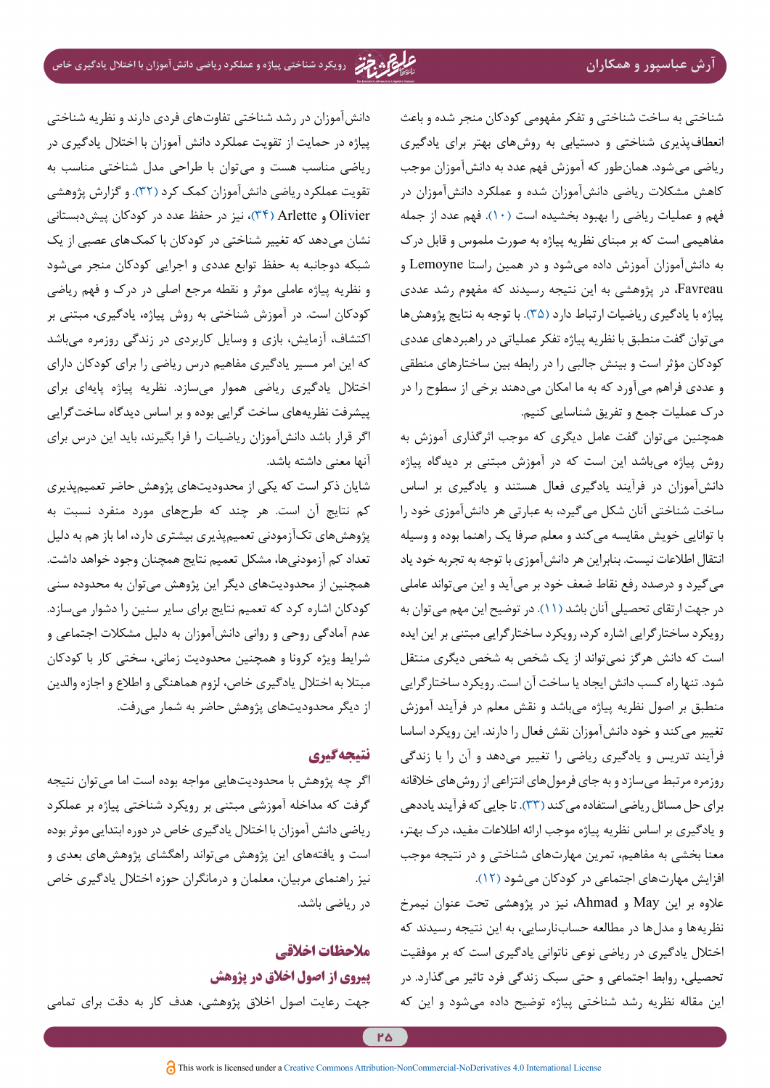شناختی به ساخت شناختی و تفکر مفهومی کودکان منجر شده و باعث انعطافپذیری شناختی و دستیابی به روشهای بهتر برای یادگیری ریاضی میشود. همانطور که آموزش فهم عدد به دانشآموزان موجب کاهش مشکالت ریاضی دانشآموزان شده و عملکرد دانشآموزان در فهم و عملیات ریاضی را بهبود بخشیده است [\)۱۰](#page-14-9)(. فهم عدد از جمله مفاهیمی است که بر مبنای نظریه پیاژه به صورت ملموس و قابل درک به دانشآموزان آموزش داده میشود و در همین راستا Lemoyne و Favreau، در پژوهشی به این نتیجه رسیدند که مفهوم رشد عددی پیاژه با یادگیری ریاضیات ارتباط دارد )[۳۵](#page-15-21)(. با توجه به نتایج پژوهشها میتوان گفت منطبق با نظریه پیاژه تفکر عملیاتی در راهبردهای عددی کودکان مؤثر است و بینش جالبی را در رابطه بین ساختارهای منطقی و عددی فراهم میآورد که به ما امکان میدهند برخی از سطوح را در درک عملیات جمع و تفریق شناسایی کنیم.

همچنین میتوان گفت عامل دیگری که موجب اثرگذاری آموزش به روش پیاژه میباشد این است که در آموزش مبتنی بر دیدگاه پیاژه دانشآموزان در فرآیند یادگیری فعال هستند و یادگیری بر اساس ساخت شناختی آنان شکل میگیرد، به عبارتی هر دانشآموزی خود را با توانایی خویش مقایسه میکند و معلم صرفا یک راهنما بوده و وسیله انتقال اطالعات نیست. بنابراین هر دانشآموزی با توجه به تجربه خود یاد میگیرد و درصدد رفع نقاط ضعف خود بر میآید و این میتواند عاملی در جهت ارتقای تحصیلی آنان باشد )[۱۱\(](#page-14-10). در توضیح این مهم میتوان به رویکرد ساختارگرایی اشاره کرد، رویکرد ساختارگرایی مبتنی بر این ایده است که دانش هرگز نمیتواند از یک شخص به شخص دیگری منتقل شود. تنها راه کسب دانش ایجاد یا ساخت آن است. رویکرد ساختارگرایی منطبق بر اصول نظریه پیاژه میباشد و نقش معلم در فرآیند آموزش تغییر میکند و خود دانشآموزان نقش فعال را دارند. این رویکرد اساسا فرآیند تدریس و یادگیری ریاضی را تغییر میدهد و آن را با زندگی روزمره مرتبط میسازد و به جای فرمولهای انتزاعی از روشهای خالقانه برای حل مسائل ریاضی استفاده میکند [\)۳۳](#page-15-19)(. تا جایی که فرآیند یاددهی و یادگیری بر اساس نظریه پیاژه موجب ارائه اطالعات مفید، درک بهتر، معنا بخشی به مفاهیم، تمرین مهارتهای شناختی و در نتیجه موجب افزایش مهارتهای اجتماعی در کودکان میشود [\)۱۲](#page-14-11)(.

عالوه بر این May و Ahmad، نیز در پژوهشی تحت عنوان نیمرخ نظریهها و مدلها در مطالعه حسابنارسایی، به این نتیجه رسیدند که اختالل یادگیری در ریاضی نوعی ناتوانی یادگیری است که بر موفقیت تحصیلی، روابط اجتماعی و حتی سبک زندگی فرد تاثیر میگذارد. در این مقاله نظریه رشد شناختی پیاژه توضیح داده میشود و این که

دانشآموزان در رشد شناختی تفاوتهای فردی دارند و نظریه شناختی پیاژه در حمایت از تقویت عملکرد دانش آموزان با اختالل یادگیری در ریاضی مناسب هست و میتوان با طراحی مدل شناختی مناسب به تقویت عملکرد ریاضی دانشآموزان کمک کرد [\)۳۲\(](#page-15-20). و گزارش پژوهشی Olivier و Arlette( [۳۴\)](#page-15-18)، نیز در حفظ عدد در کودکان پیشدبستانی نشان میدهد که تغییر شناختی در کودکان با کمکهای عصبی از یک شبکه دوجانبه به حفظ توابع عددی و اجرایی کودکان منجر میشود و نظریه پیاژه عاملی موثر و نقطه مرجع اصلی در درک و فهم ریاضی کودکان است. در آموزش شناختی به روش پیاژه، یادگیری، مبتنی بر اکتشاف، آزمایش، بازی و وسایل کاربردی در زندگی روزمره میباشد که این امر مسیر یادگیری مفاهیم درس ریاضی را برای کودکان دارای اختالل یادگیری ریاضی هموار میسازد. نظریه پیاژه پایهای برای پیشرفت نظریههای ساخت گرایی بوده و بر اساس دیدگاه ساختگرایی اگر قرار باشد دانشآموزان ریاضیات را فرا بگیرند، باید این درس برای آنها معنی داشته باشد.

شایان ذکر است که یکی از محدودیتهای پژوهش حاضر تعمیمپذیری کم نتایج آن است. هر چند که طرحهای مورد منفرد نسبت به پژوهشهای تکآزمودنی تعمیمپذیری بیشتری دارد، اما باز هم به دلیل تعداد کم آزمودنیها، مشکل تعمیم نتایج همچنان وجود خواهد داشت. همچنین از محدودیتهای دیگر این پژوهش میتوان به محدوده سنی کودکان اشاره کرد که تعمیم نتایج برای سایر سنین را دشوار میسازد. عدم آمادگی روحی و روانی دانشآموزان به دلیل مشکالت اجتماعی و شرایط ویژه کرونا و همچنین محدوديت زماني، سختي كار با كودكان مبتال به اختالل یادگیری خاص، لزوم هماهنگي و اطالع و اجازه والدين از ديگر محدوديتهاي پژوهش حاضر به شمار میرفت.

# **نتیجهگیری**

اگر چه پژوهش با محدوديتهايي مواجه بوده است اما ميتوان نتيجه گرفت كه مداخله آموزشی مبتنی بر رویکرد شناختی پیاژه بر عملکرد ریاضی دانش آموزان با اختالل یادگیری خاص در دوره ابتدایی موثر بوده است و یافتههای اين پژوهش ميتواند راهگشاي پژوهشهاي بعدي و نيز راهنماي مربيان، معلمان و درمانگران حوزه اختالل یادگیری خاص در ریاضی باشد.

# **مالحظات اخالقی**

## **پیروی از اصول اخالق در پژوهش**

جهت رعایت اصول اخالق پژوهشی، هدف کار به دقت برای تمامی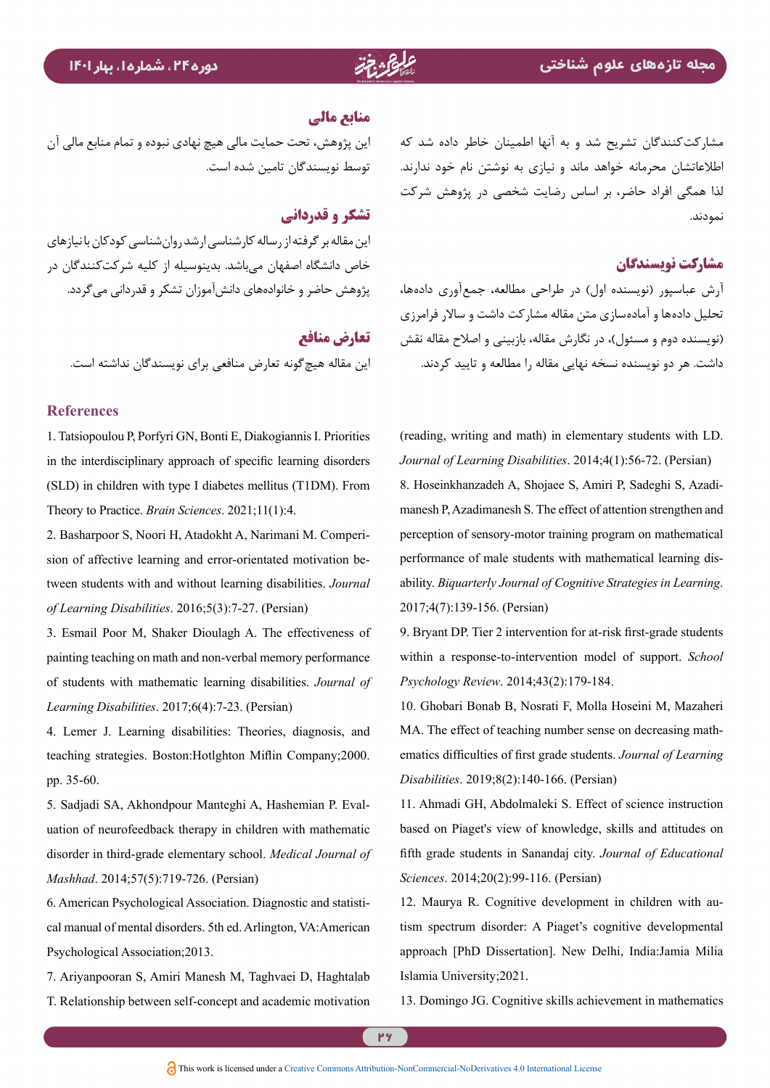مشارکتکنندگان تشریح شد و به آنها اطمینان خاطر داده شد که اطالعاتشان محرمانه خواهد ماند و نیازی به نوشتن نام خود ندارند. لذا همگی افراد حاضر، بر اساس رضایت شخصی در پژوهش شرکت نمودند.

# **مشارکت نویسندگان**

آرش عباسپور )نویسنده اول( در طراحی مطالعه، جمعآوری دادهها، تحلیل دادهها و آمادهسازی متن مقاله مشارکت داشت و ساالر فرامرزی (نویسنده دوم و مسئول)، در نگارش مقاله، بازبینی و اصلاح مقاله نقش داشت. هر دو نویسنده نسخه نهایی مقاله را مطالعه و تایید کردند.

<span id="page-14-7"></span>(reading, writing and math) in elementary students with LD. Journal of Learning Disabilities. 2014;4(1):56-72. (Persian) manesh P, Azadimanesh S. The effect of attention strengthen and 8. Hoseinkhanzadeh A, Shojaee S, Amiri P, Sadeghi S, Azadiperception of sensory-motor training program on mathematical performance of male students with mathematical learning dis-<br>ability. *Biquarterly Journal of Cognitive Strategies in Learning*. 2017;4(7):139-156. (Persian)

<span id="page-14-8"></span>9. Bryant DP. Tier 2 intervention for at-risk first-grade students within a response-to-intervention model of support. School Psychology Review. 2014;43(2):179-184.

<span id="page-14-9"></span>10. Ghobari Bonab B, Nosrati F, Molla Hoseini M, Mazaheri ematics difficulties of first grade students. Journal of Learning MA. The effect of teaching number sense on decreasing math-Disabilities. 2019;8(2):140-166. (Persian)

<span id="page-14-10"></span>11. Ahmadi GH, Abdolmaleki S. Effect of science instruction based on Piaget's view of knowledge, skills and attitudes on fifth grade students in Sanandaj city. Journal of Educational Sciences. 2014;20(2):99-116. (Persian)

<span id="page-14-11"></span>tism spectrum disorder: A Piaget's cognitive developmental 12. Maurya R. Cognitive development in children with auapproach [PhD Dissertation]. New Delhi, India:Jamia Milia Islamia University 2021.

<span id="page-14-12"></span>13. Domingo JG. Cognitive skills achievement in mathematics

### **منابع مالی**

این پژوهش، تحت حمایت مالی هیچ نهادی نبوده و تمام منابع مالی آن توسط نویسندگان تامین شده است.

### **تشکر و قدردانی**

این مقاله بر گرفته از رساله کارشناسی ارشد روانشناسی کودکان با نیازهای خاص دانشگاه اصفهان میباشد. بدینوسیله از کلیه شرکتکنندگان در پژوهش حاضر و خانوادههای دانشآموزان تشکر و قدردانی میگردد.

**تعارض منافع** این مقاله هیچگونه تعارض منافعی برای نویسندگان نداشته است.

#### **References**

<span id="page-14-0"></span>1. Tatsiopoulou P, Porfyri GN, Bonti E, Diakogiannis I. Priorities in the interdisciplinary approach of specific learning disorders  $(SLD)$  in children with type I diabetes mellitus (T1DM). From Theory to Practice. *Brain Sciences*. 2021;11(1):4.

<span id="page-14-1"></span>tween students with and without learning disabilities. Journal sion of affective learning and error-orientated motivation be-2. Basharpoor S, Noori H, Atadokht A, Narimani M. Comperiof Learning Disabilities. 2016;5(3):7-27. (Persian)

<span id="page-14-2"></span>3. Esmail Poor M, Shaker Dioulagh A. The effectiveness of painting teaching on math and non-verbal memory performance of students with mathematic learning disabilities. Journal of Learning Disabilities. 2017;6(4):7-23. (Persian)

<span id="page-14-3"></span>4. Lemer J. Learning disabilities: Theories, diagnosis, and teaching strategies. Boston:Hotlghton Miflin Company;2000. pp. 35-60.

<span id="page-14-4"></span>uation of neurofeedback therapy in children with mathematic 5. Sadjadi SA, Akhondpour Manteghi A, Hashemian P. Evaldisorder in third-grade elementary school. Medical Journal of *Mashhad.* 2014;57(5):719-726. (Persian)

<span id="page-14-5"></span>6. American Psychological Association. Diagnostic and statisti-<br>cal manual of mental disorders. 5th ed. Arlington, VA:American Psychological Association; 2013.

<span id="page-14-6"></span>7. Ariyanpooran S, Amiri Manesh M, Taghvaei D, Haghtalab T. Relationship between self-concept and academic motivation